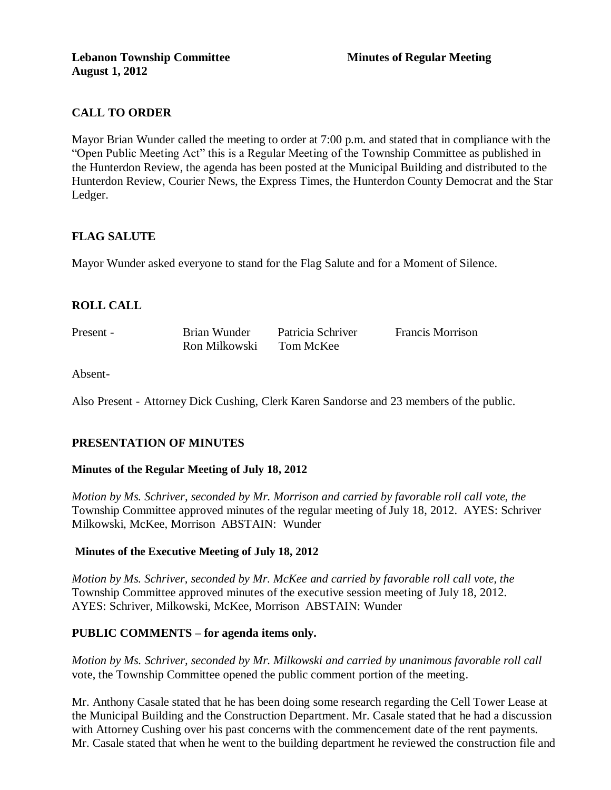# **CALL TO ORDER**

Mayor Brian Wunder called the meeting to order at 7:00 p.m. and stated that in compliance with the "Open Public Meeting Act" this is a Regular Meeting of the Township Committee as published in the Hunterdon Review, the agenda has been posted at the Municipal Building and distributed to the Hunterdon Review, Courier News, the Express Times, the Hunterdon County Democrat and the Star Ledger.

### **FLAG SALUTE**

Mayor Wunder asked everyone to stand for the Flag Salute and for a Moment of Silence.

### **ROLL CALL**

Present - Brian Wunder Patricia Schriver Francis Morrison Ron Milkowski Tom McKee

Absent-

Also Present - Attorney Dick Cushing, Clerk Karen Sandorse and 23 members of the public.

### **PRESENTATION OF MINUTES**

#### **Minutes of the Regular Meeting of July 18, 2012**

*Motion by Ms. Schriver, seconded by Mr. Morrison and carried by favorable roll call vote, the* Township Committee approved minutes of the regular meeting of July 18, 2012. AYES: Schriver Milkowski, McKee, Morrison ABSTAIN: Wunder

#### **Minutes of the Executive Meeting of July 18, 2012**

*Motion by Ms. Schriver, seconded by Mr. McKee and carried by favorable roll call vote, the* Township Committee approved minutes of the executive session meeting of July 18, 2012. AYES: Schriver, Milkowski, McKee, Morrison ABSTAIN: Wunder

#### **PUBLIC COMMENTS – for agenda items only.**

*Motion by Ms. Schriver, seconded by Mr. Milkowski and carried by unanimous favorable roll call*  vote, the Township Committee opened the public comment portion of the meeting.

Mr. Anthony Casale stated that he has been doing some research regarding the Cell Tower Lease at the Municipal Building and the Construction Department. Mr. Casale stated that he had a discussion with Attorney Cushing over his past concerns with the commencement date of the rent payments. Mr. Casale stated that when he went to the building department he reviewed the construction file and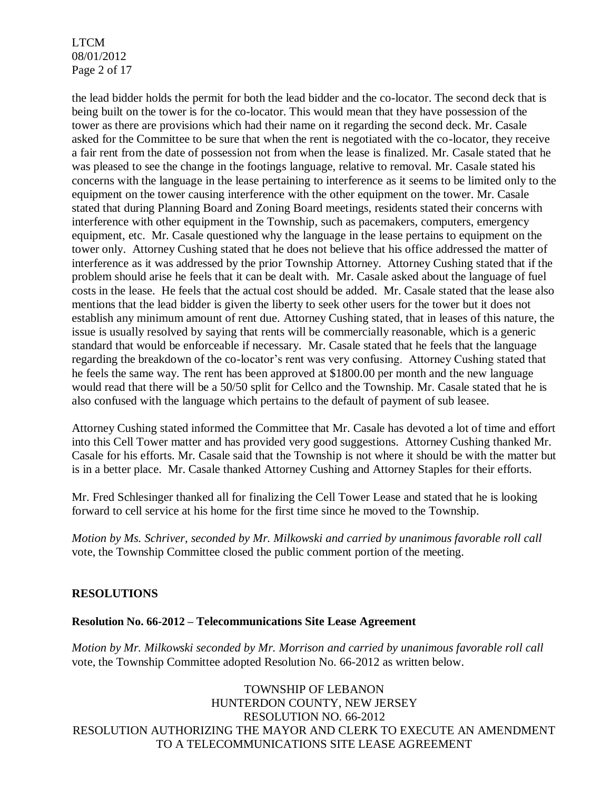LTCM 08/01/2012 Page 2 of 17

the lead bidder holds the permit for both the lead bidder and the co-locator. The second deck that is being built on the tower is for the co-locator. This would mean that they have possession of the tower as there are provisions which had their name on it regarding the second deck. Mr. Casale asked for the Committee to be sure that when the rent is negotiated with the co-locator, they receive a fair rent from the date of possession not from when the lease is finalized. Mr. Casale stated that he was pleased to see the change in the footings language, relative to removal. Mr. Casale stated his concerns with the language in the lease pertaining to interference as it seems to be limited only to the equipment on the tower causing interference with the other equipment on the tower. Mr. Casale stated that during Planning Board and Zoning Board meetings, residents stated their concerns with interference with other equipment in the Township, such as pacemakers, computers, emergency equipment, etc. Mr. Casale questioned why the language in the lease pertains to equipment on the tower only. Attorney Cushing stated that he does not believe that his office addressed the matter of interference as it was addressed by the prior Township Attorney. Attorney Cushing stated that if the problem should arise he feels that it can be dealt with. Mr. Casale asked about the language of fuel costs in the lease. He feels that the actual cost should be added. Mr. Casale stated that the lease also mentions that the lead bidder is given the liberty to seek other users for the tower but it does not establish any minimum amount of rent due. Attorney Cushing stated, that in leases of this nature, the issue is usually resolved by saying that rents will be commercially reasonable, which is a generic standard that would be enforceable if necessary. Mr. Casale stated that he feels that the language regarding the breakdown of the co-locator's rent was very confusing. Attorney Cushing stated that he feels the same way. The rent has been approved at \$1800.00 per month and the new language would read that there will be a 50/50 split for Cellco and the Township. Mr. Casale stated that he is also confused with the language which pertains to the default of payment of sub leasee.

Attorney Cushing stated informed the Committee that Mr. Casale has devoted a lot of time and effort into this Cell Tower matter and has provided very good suggestions. Attorney Cushing thanked Mr. Casale for his efforts. Mr. Casale said that the Township is not where it should be with the matter but is in a better place. Mr. Casale thanked Attorney Cushing and Attorney Staples for their efforts.

Mr. Fred Schlesinger thanked all for finalizing the Cell Tower Lease and stated that he is looking forward to cell service at his home for the first time since he moved to the Township.

*Motion by Ms. Schriver, seconded by Mr. Milkowski and carried by unanimous favorable roll call*  vote, the Township Committee closed the public comment portion of the meeting.

### **RESOLUTIONS**

#### **Resolution No. 66-2012 – Telecommunications Site Lease Agreement**

*Motion by Mr. Milkowski seconded by Mr. Morrison and carried by unanimous favorable roll call*  vote, the Township Committee adopted Resolution No. 66-2012 as written below.

TOWNSHIP OF LEBANON HUNTERDON COUNTY, NEW JERSEY RESOLUTION NO. 66-2012 RESOLUTION AUTHORIZING THE MAYOR AND CLERK TO EXECUTE AN AMENDMENT TO A TELECOMMUNICATIONS SITE LEASE AGREEMENT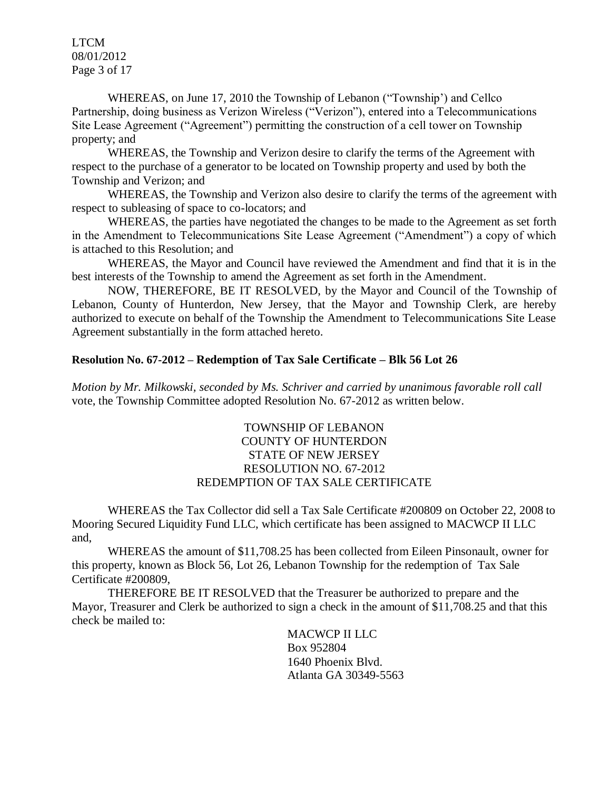LTCM 08/01/2012 Page 3 of 17

WHEREAS, on June 17, 2010 the Township of Lebanon ("Township') and Cellco Partnership, doing business as Verizon Wireless ("Verizon"), entered into a Telecommunications Site Lease Agreement ("Agreement") permitting the construction of a cell tower on Township property; and

WHEREAS, the Township and Verizon desire to clarify the terms of the Agreement with respect to the purchase of a generator to be located on Township property and used by both the Township and Verizon; and

WHEREAS, the Township and Verizon also desire to clarify the terms of the agreement with respect to subleasing of space to co-locators; and

WHEREAS, the parties have negotiated the changes to be made to the Agreement as set forth in the Amendment to Telecommunications Site Lease Agreement ("Amendment") a copy of which is attached to this Resolution; and

WHEREAS, the Mayor and Council have reviewed the Amendment and find that it is in the best interests of the Township to amend the Agreement as set forth in the Amendment.

NOW, THEREFORE, BE IT RESOLVED, by the Mayor and Council of the Township of Lebanon, County of Hunterdon, New Jersey, that the Mayor and Township Clerk, are hereby authorized to execute on behalf of the Township the Amendment to Telecommunications Site Lease Agreement substantially in the form attached hereto.

#### **Resolution No. 67-2012 – Redemption of Tax Sale Certificate – Blk 56 Lot 26**

*Motion by Mr. Milkowski, seconded by Ms. Schriver and carried by unanimous favorable roll call*  vote, the Township Committee adopted Resolution No. 67-2012 as written below.

#### TOWNSHIP OF LEBANON COUNTY OF HUNTERDON STATE OF NEW JERSEY RESOLUTION NO. 67-2012 REDEMPTION OF TAX SALE CERTIFICATE

WHEREAS the Tax Collector did sell a Tax Sale Certificate #200809 on October 22, 2008 to Mooring Secured Liquidity Fund LLC, which certificate has been assigned to MACWCP II LLC and,

WHEREAS the amount of \$11,708.25 has been collected from Eileen Pinsonault, owner for this property, known as Block 56, Lot 26, Lebanon Township for the redemption of Tax Sale Certificate #200809,

THEREFORE BE IT RESOLVED that the Treasurer be authorized to prepare and the Mayor, Treasurer and Clerk be authorized to sign a check in the amount of \$11,708.25 and that this check be mailed to:

> MACWCP II LLC Box 952804 1640 Phoenix Blvd. Atlanta GA 30349-5563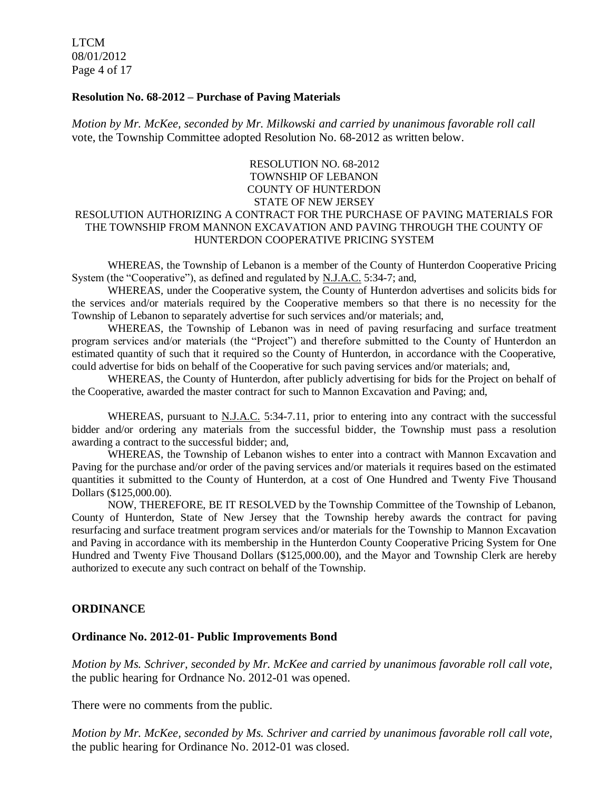LTCM 08/01/2012 Page 4 of 17

#### **Resolution No. 68-2012 – Purchase of Paving Materials**

*Motion by Mr. McKee, seconded by Mr. Milkowski and carried by unanimous favorable roll call*  vote, the Township Committee adopted Resolution No. 68-2012 as written below.

# RESOLUTION NO. 68-2012 TOWNSHIP OF LEBANON COUNTY OF HUNTERDON STATE OF NEW JERSEY

#### RESOLUTION AUTHORIZING A CONTRACT FOR THE PURCHASE OF PAVING MATERIALS FOR THE TOWNSHIP FROM MANNON EXCAVATION AND PAVING THROUGH THE COUNTY OF HUNTERDON COOPERATIVE PRICING SYSTEM

WHEREAS, the Township of Lebanon is a member of the County of Hunterdon Cooperative Pricing System (the "Cooperative"), as defined and regulated by N.J.A.C. 5:34-7; and,

WHEREAS, under the Cooperative system, the County of Hunterdon advertises and solicits bids for the services and/or materials required by the Cooperative members so that there is no necessity for the Township of Lebanon to separately advertise for such services and/or materials; and,

WHEREAS, the Township of Lebanon was in need of paving resurfacing and surface treatment program services and/or materials (the "Project") and therefore submitted to the County of Hunterdon an estimated quantity of such that it required so the County of Hunterdon, in accordance with the Cooperative, could advertise for bids on behalf of the Cooperative for such paving services and/or materials; and,

WHEREAS, the County of Hunterdon, after publicly advertising for bids for the Project on behalf of the Cooperative, awarded the master contract for such to Mannon Excavation and Paving; and,

WHEREAS, pursuant to **N.J.A.C.** 5:34-7.11, prior to entering into any contract with the successful bidder and/or ordering any materials from the successful bidder, the Township must pass a resolution awarding a contract to the successful bidder; and,

WHEREAS, the Township of Lebanon wishes to enter into a contract with Mannon Excavation and Paving for the purchase and/or order of the paving services and/or materials it requires based on the estimated quantities it submitted to the County of Hunterdon, at a cost of One Hundred and Twenty Five Thousand Dollars (\$125,000.00).

NOW, THEREFORE, BE IT RESOLVED by the Township Committee of the Township of Lebanon, County of Hunterdon, State of New Jersey that the Township hereby awards the contract for paving resurfacing and surface treatment program services and/or materials for the Township to Mannon Excavation and Paving in accordance with its membership in the Hunterdon County Cooperative Pricing System for One Hundred and Twenty Five Thousand Dollars (\$125,000.00), and the Mayor and Township Clerk are hereby authorized to execute any such contract on behalf of the Township.

### **ORDINANCE**

#### **Ordinance No. 2012-01- Public Improvements Bond**

*Motion by Ms. Schriver, seconded by Mr. McKee and carried by unanimous favorable roll call vote,* the public hearing for Ordnance No. 2012-01 was opened.

There were no comments from the public.

*Motion by Mr. McKee, seconded by Ms. Schriver and carried by unanimous favorable roll call vote,* the public hearing for Ordinance No. 2012-01 was closed.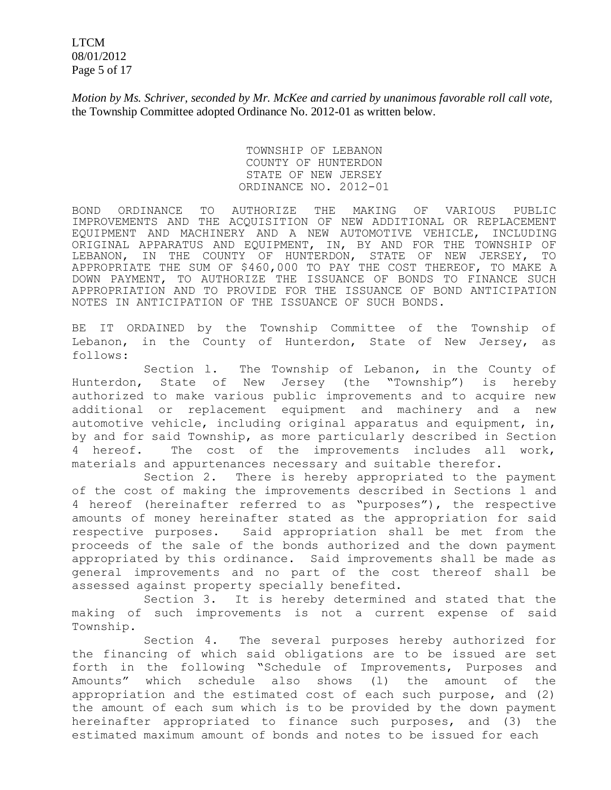LTCM 08/01/2012 Page 5 of 17

*Motion by Ms. Schriver, seconded by Mr. McKee and carried by unanimous favorable roll call vote,* the Township Committee adopted Ordinance No. 2012-01 as written below.

> TOWNSHIP OF LEBANON COUNTY OF HUNTERDON STATE OF NEW JERSEY ORDINANCE NO. 2012-01

BOND ORDINANCE TO AUTHORIZE THE MAKING OF VARIOUS PUBLIC IMPROVEMENTS AND THE ACQUISITION OF NEW ADDITIONAL OR REPLACEMENT EQUIPMENT AND MACHINERY AND A NEW AUTOMOTIVE VEHICLE, INCLUDING ORIGINAL APPARATUS AND EQUIPMENT, IN, BY AND FOR THE TOWNSHIP OF LEBANON, IN THE COUNTY OF HUNTERDON, STATE OF NEW JERSEY, TO APPROPRIATE THE SUM OF \$460,000 TO PAY THE COST THEREOF, TO MAKE A DOWN PAYMENT, TO AUTHORIZE THE ISSUANCE OF BONDS TO FINANCE SUCH APPROPRIATION AND TO PROVIDE FOR THE ISSUANCE OF BOND ANTICIPATION NOTES IN ANTICIPATION OF THE ISSUANCE OF SUCH BONDS.

BE IT ORDAINED by the Township Committee of the Township of Lebanon, in the County of Hunterdon, State of New Jersey, as follows:

Section l. The Township of Lebanon, in the County of Hunterdon, State of New Jersey (the "Township") is hereby authorized to make various public improvements and to acquire new additional or replacement equipment and machinery and a new automotive vehicle, including original apparatus and equipment, in, by and for said Township, as more particularly described in Section 4 hereof. The cost of the improvements includes all work, materials and appurtenances necessary and suitable therefor.

Section 2. There is hereby appropriated to the payment of the cost of making the improvements described in Sections l and 4 hereof (hereinafter referred to as "purposes"), the respective amounts of money hereinafter stated as the appropriation for said respective purposes. Said appropriation shall be met from the proceeds of the sale of the bonds authorized and the down payment appropriated by this ordinance. Said improvements shall be made as general improvements and no part of the cost thereof shall be assessed against property specially benefited.

Section 3. It is hereby determined and stated that the making of such improvements is not a current expense of said Township.

Section 4. The several purposes hereby authorized for the financing of which said obligations are to be issued are set forth in the following "Schedule of Improvements, Purposes and Amounts" which schedule also shows (l) the amount of the appropriation and the estimated cost of each such purpose, and (2) the amount of each sum which is to be provided by the down payment hereinafter appropriated to finance such purposes, and (3) the estimated maximum amount of bonds and notes to be issued for each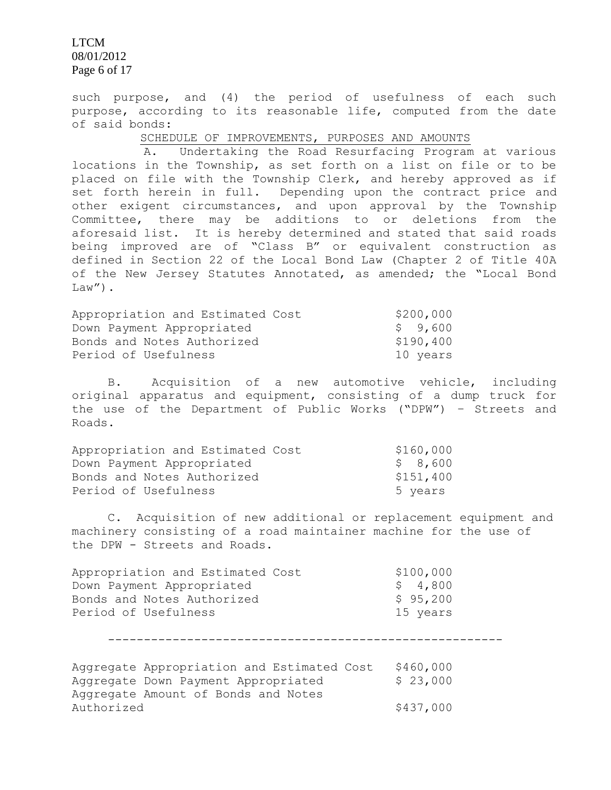LTCM 08/01/2012 Page 6 of 17

such purpose, and (4) the period of usefulness of each such purpose, according to its reasonable life, computed from the date of said bonds:

SCHEDULE OF IMPROVEMENTS, PURPOSES AND AMOUNTS

A. Undertaking the Road Resurfacing Program at various locations in the Township, as set forth on a list on file or to be placed on file with the Township Clerk, and hereby approved as if set forth herein in full. Depending upon the contract price and other exigent circumstances, and upon approval by the Township Committee, there may be additions to or deletions from the aforesaid list. It is hereby determined and stated that said roads being improved are of "Class B" or equivalent construction as defined in Section 22 of the Local Bond Law (Chapter 2 of Title 40A of the New Jersey Statutes Annotated, as amended; the "Local Bond  $Law''$ ).

| Appropriation and Estimated Cost | \$200,000 |
|----------------------------------|-----------|
| Down Payment Appropriated        | \$ 9,600  |
| Bonds and Notes Authorized       | \$190,400 |
| Period of Usefulness             | 10 years  |

B. Acquisition of a new automotive vehicle, including original apparatus and equipment, consisting of a dump truck for the use of the Department of Public Works ("DPW") – Streets and Roads.

| Appropriation and Estimated Cost | \$160,000 |
|----------------------------------|-----------|
| Down Payment Appropriated        | \$ 8,600  |
| Bonds and Notes Authorized       | \$151,400 |
| Period of Usefulness             | 5 years   |

C. Acquisition of new additional or replacement equipment and machinery consisting of a road maintainer machine for the use of the DPW - Streets and Roads.

| Appropriation and Estimated Cost | \$100,000 |
|----------------------------------|-----------|
| Down Payment Appropriated        | \$4,800   |
| Bonds and Notes Authorized       | \$95,200  |
| Period of Usefulness             | 15 years  |

-------------------------------------------------------

|            | Aggregate Appropriation and Estimated Cost | \$460,000 |
|------------|--------------------------------------------|-----------|
|            | Aggregate Down Payment Appropriated        | \$23,000  |
|            | Aggregate Amount of Bonds and Notes        |           |
| Authorized |                                            | \$437,000 |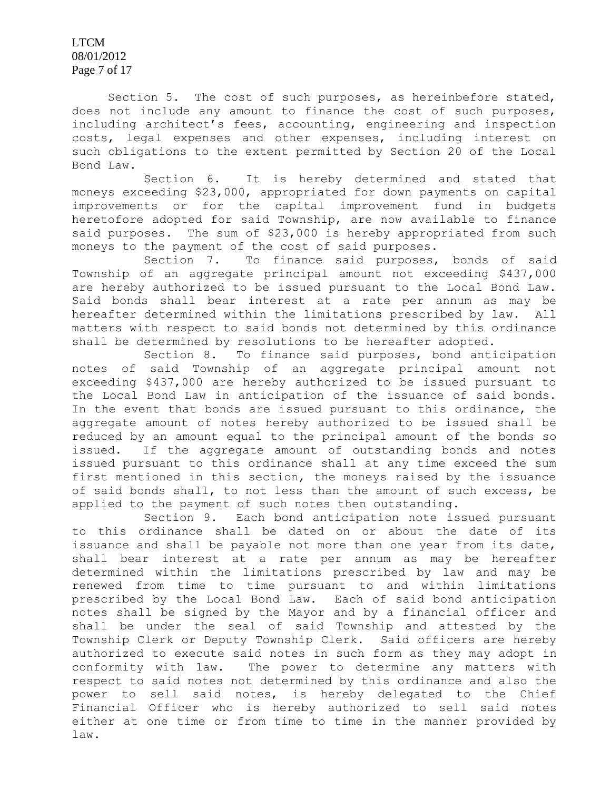LTCM 08/01/2012 Page 7 of 17

Section 5. The cost of such purposes, as hereinbefore stated, does not include any amount to finance the cost of such purposes, including architect's fees, accounting, engineering and inspection costs, legal expenses and other expenses, including interest on such obligations to the extent permitted by Section 20 of the Local Bond Law.

Section 6. It is hereby determined and stated that moneys exceeding \$23,000, appropriated for down payments on capital improvements or for the capital improvement fund in budgets heretofore adopted for said Township, are now available to finance said purposes. The sum of \$23,000 is hereby appropriated from such moneys to the payment of the cost of said purposes.

Section 7. To finance said purposes, bonds of said Township of an aggregate principal amount not exceeding \$437,000 are hereby authorized to be issued pursuant to the Local Bond Law. Said bonds shall bear interest at a rate per annum as may be hereafter determined within the limitations prescribed by law. All matters with respect to said bonds not determined by this ordinance shall be determined by resolutions to be hereafter adopted.

Section 8. To finance said purposes, bond anticipation notes of said Township of an aggregate principal amount not exceeding \$437,000 are hereby authorized to be issued pursuant to the Local Bond Law in anticipation of the issuance of said bonds. In the event that bonds are issued pursuant to this ordinance, the aggregate amount of notes hereby authorized to be issued shall be reduced by an amount equal to the principal amount of the bonds so issued. If the aggregate amount of outstanding bonds and notes issued pursuant to this ordinance shall at any time exceed the sum first mentioned in this section, the moneys raised by the issuance of said bonds shall, to not less than the amount of such excess, be applied to the payment of such notes then outstanding.

Section 9. Each bond anticipation note issued pursuant to this ordinance shall be dated on or about the date of its issuance and shall be payable not more than one year from its date, shall bear interest at a rate per annum as may be hereafter determined within the limitations prescribed by law and may be renewed from time to time pursuant to and within limitations prescribed by the Local Bond Law. Each of said bond anticipation notes shall be signed by the Mayor and by a financial officer and shall be under the seal of said Township and attested by the Township Clerk or Deputy Township Clerk. Said officers are hereby authorized to execute said notes in such form as they may adopt in conformity with law. The power to determine any matters with respect to said notes not determined by this ordinance and also the power to sell said notes, is hereby delegated to the Chief Financial Officer who is hereby authorized to sell said notes either at one time or from time to time in the manner provided by law.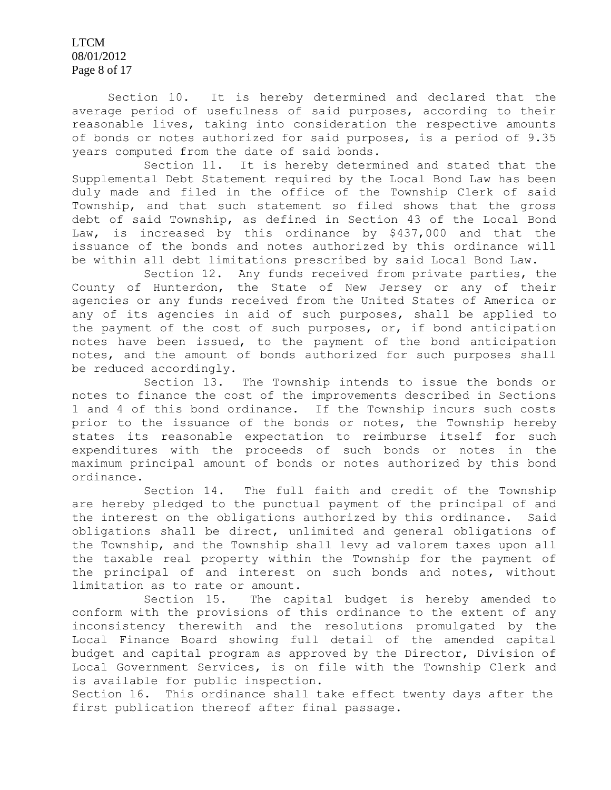LTCM 08/01/2012 Page 8 of 17

Section 10. It is hereby determined and declared that the average period of usefulness of said purposes, according to their reasonable lives, taking into consideration the respective amounts of bonds or notes authorized for said purposes, is a period of 9.35 years computed from the date of said bonds.

Section 11. It is hereby determined and stated that the Supplemental Debt Statement required by the Local Bond Law has been duly made and filed in the office of the Township Clerk of said Township, and that such statement so filed shows that the gross debt of said Township, as defined in Section 43 of the Local Bond Law, is increased by this ordinance by \$437,000 and that the issuance of the bonds and notes authorized by this ordinance will be within all debt limitations prescribed by said Local Bond Law.

Section 12. Any funds received from private parties, the County of Hunterdon, the State of New Jersey or any of their agencies or any funds received from the United States of America or any of its agencies in aid of such purposes, shall be applied to the payment of the cost of such purposes, or, if bond anticipation notes have been issued, to the payment of the bond anticipation notes, and the amount of bonds authorized for such purposes shall be reduced accordingly.

Section 13. The Township intends to issue the bonds or notes to finance the cost of the improvements described in Sections 1 and 4 of this bond ordinance. If the Township incurs such costs prior to the issuance of the bonds or notes, the Township hereby states its reasonable expectation to reimburse itself for such expenditures with the proceeds of such bonds or notes in the maximum principal amount of bonds or notes authorized by this bond ordinance.

Section 14. The full faith and credit of the Township are hereby pledged to the punctual payment of the principal of and the interest on the obligations authorized by this ordinance. Said obligations shall be direct, unlimited and general obligations of the Township, and the Township shall levy ad valorem taxes upon all the taxable real property within the Township for the payment of the principal of and interest on such bonds and notes, without limitation as to rate or amount.

Section 15. The capital budget is hereby amended to conform with the provisions of this ordinance to the extent of any inconsistency therewith and the resolutions promulgated by the Local Finance Board showing full detail of the amended capital budget and capital program as approved by the Director, Division of Local Government Services, is on file with the Township Clerk and is available for public inspection.

Section 16. This ordinance shall take effect twenty days after the first publication thereof after final passage.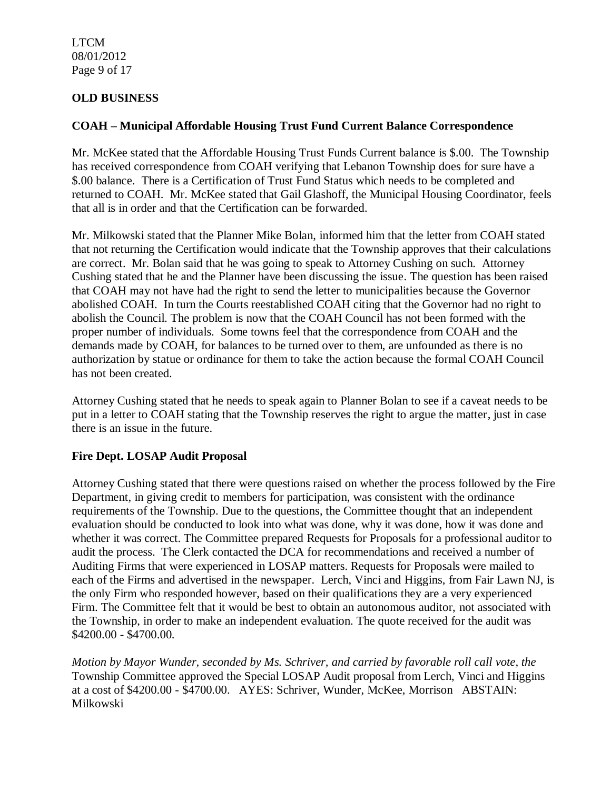LTCM 08/01/2012 Page 9 of 17

## **OLD BUSINESS**

#### **COAH – Municipal Affordable Housing Trust Fund Current Balance Correspondence**

Mr. McKee stated that the Affordable Housing Trust Funds Current balance is \$.00. The Township has received correspondence from COAH verifying that Lebanon Township does for sure have a \$.00 balance. There is a Certification of Trust Fund Status which needs to be completed and returned to COAH. Mr. McKee stated that Gail Glashoff, the Municipal Housing Coordinator, feels that all is in order and that the Certification can be forwarded.

Mr. Milkowski stated that the Planner Mike Bolan, informed him that the letter from COAH stated that not returning the Certification would indicate that the Township approves that their calculations are correct. Mr. Bolan said that he was going to speak to Attorney Cushing on such. Attorney Cushing stated that he and the Planner have been discussing the issue. The question has been raised that COAH may not have had the right to send the letter to municipalities because the Governor abolished COAH. In turn the Courts reestablished COAH citing that the Governor had no right to abolish the Council. The problem is now that the COAH Council has not been formed with the proper number of individuals. Some towns feel that the correspondence from COAH and the demands made by COAH, for balances to be turned over to them, are unfounded as there is no authorization by statue or ordinance for them to take the action because the formal COAH Council has not been created.

Attorney Cushing stated that he needs to speak again to Planner Bolan to see if a caveat needs to be put in a letter to COAH stating that the Township reserves the right to argue the matter, just in case there is an issue in the future.

### **Fire Dept. LOSAP Audit Proposal**

Attorney Cushing stated that there were questions raised on whether the process followed by the Fire Department, in giving credit to members for participation, was consistent with the ordinance requirements of the Township. Due to the questions, the Committee thought that an independent evaluation should be conducted to look into what was done, why it was done, how it was done and whether it was correct. The Committee prepared Requests for Proposals for a professional auditor to audit the process. The Clerk contacted the DCA for recommendations and received a number of Auditing Firms that were experienced in LOSAP matters. Requests for Proposals were mailed to each of the Firms and advertised in the newspaper. Lerch, Vinci and Higgins, from Fair Lawn NJ, is the only Firm who responded however, based on their qualifications they are a very experienced Firm. The Committee felt that it would be best to obtain an autonomous auditor, not associated with the Township, in order to make an independent evaluation. The quote received for the audit was \$4200.00 - \$4700.00.

*Motion by Mayor Wunder, seconded by Ms. Schriver, and carried by favorable roll call vote, the* Township Committee approved the Special LOSAP Audit proposal from Lerch, Vinci and Higgins at a cost of \$4200.00 - \$4700.00. AYES: Schriver, Wunder, McKee, Morrison ABSTAIN: Milkowski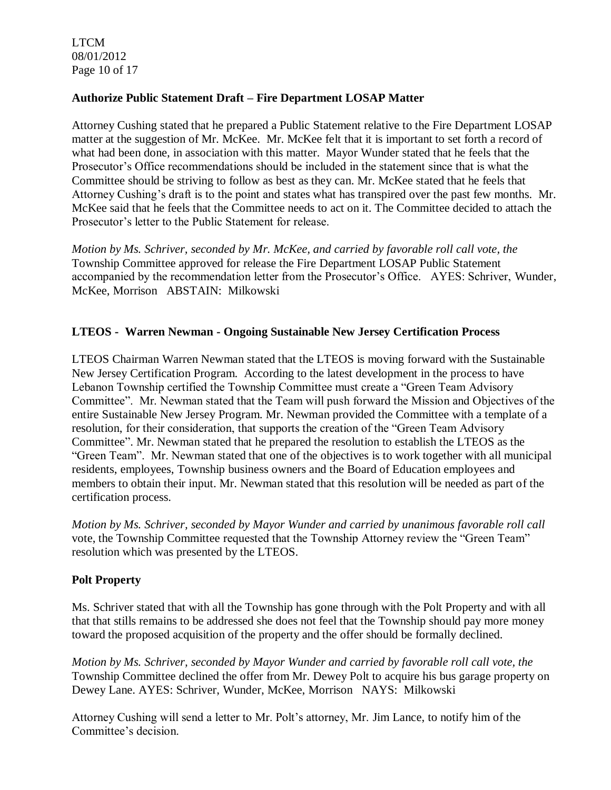LTCM 08/01/2012 Page 10 of 17

### **Authorize Public Statement Draft – Fire Department LOSAP Matter**

Attorney Cushing stated that he prepared a Public Statement relative to the Fire Department LOSAP matter at the suggestion of Mr. McKee. Mr. McKee felt that it is important to set forth a record of what had been done, in association with this matter. Mayor Wunder stated that he feels that the Prosecutor's Office recommendations should be included in the statement since that is what the Committee should be striving to follow as best as they can. Mr. McKee stated that he feels that Attorney Cushing's draft is to the point and states what has transpired over the past few months. Mr. McKee said that he feels that the Committee needs to act on it. The Committee decided to attach the Prosecutor's letter to the Public Statement for release.

*Motion by Ms. Schriver, seconded by Mr. McKee, and carried by favorable roll call vote, the* Township Committee approved for release the Fire Department LOSAP Public Statement accompanied by the recommendation letter from the Prosecutor's Office. AYES: Schriver, Wunder, McKee, Morrison ABSTAIN: Milkowski

### **LTEOS - Warren Newman - Ongoing Sustainable New Jersey Certification Process**

LTEOS Chairman Warren Newman stated that the LTEOS is moving forward with the Sustainable New Jersey Certification Program. According to the latest development in the process to have Lebanon Township certified the Township Committee must create a "Green Team Advisory Committee". Mr. Newman stated that the Team will push forward the Mission and Objectives of the entire Sustainable New Jersey Program. Mr. Newman provided the Committee with a template of a resolution, for their consideration, that supports the creation of the "Green Team Advisory Committee". Mr. Newman stated that he prepared the resolution to establish the LTEOS as the "Green Team". Mr. Newman stated that one of the objectives is to work together with all municipal residents, employees, Township business owners and the Board of Education employees and members to obtain their input. Mr. Newman stated that this resolution will be needed as part of the certification process.

*Motion by Ms. Schriver, seconded by Mayor Wunder and carried by unanimous favorable roll call*  vote, the Township Committee requested that the Township Attorney review the "Green Team" resolution which was presented by the LTEOS.

### **Polt Property**

Ms. Schriver stated that with all the Township has gone through with the Polt Property and with all that that stills remains to be addressed she does not feel that the Township should pay more money toward the proposed acquisition of the property and the offer should be formally declined.

*Motion by Ms. Schriver, seconded by Mayor Wunder and carried by favorable roll call vote, the* Township Committee declined the offer from Mr. Dewey Polt to acquire his bus garage property on Dewey Lane. AYES: Schriver, Wunder, McKee, Morrison NAYS: Milkowski

Attorney Cushing will send a letter to Mr. Polt's attorney, Mr. Jim Lance, to notify him of the Committee's decision.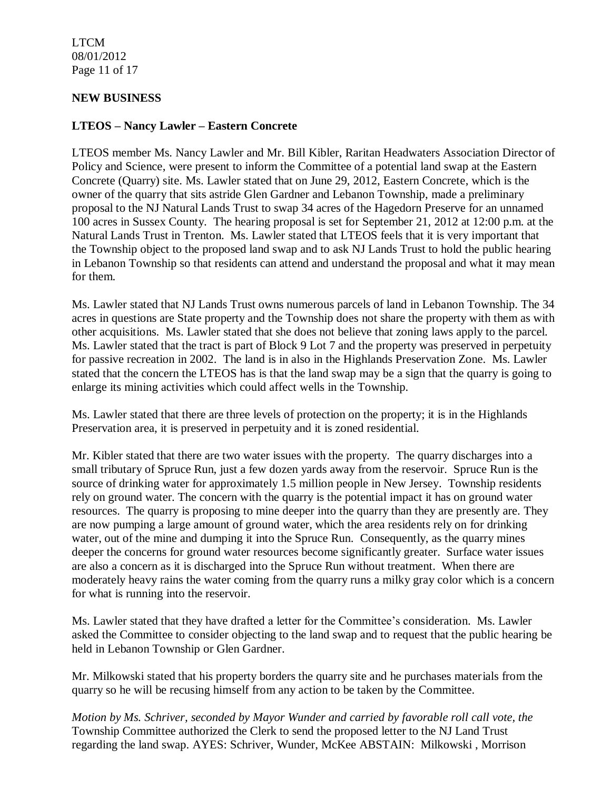LTCM 08/01/2012 Page 11 of 17

#### **NEW BUSINESS**

#### **LTEOS – Nancy Lawler – Eastern Concrete**

LTEOS member Ms. Nancy Lawler and Mr. Bill Kibler, Raritan Headwaters Association Director of Policy and Science, were present to inform the Committee of a potential land swap at the Eastern Concrete (Quarry) site. Ms. Lawler stated that on June 29, 2012, Eastern Concrete, which is the owner of the quarry that sits astride Glen Gardner and Lebanon Township, made a preliminary proposal to the NJ Natural Lands Trust to swap 34 acres of the Hagedorn Preserve for an unnamed 100 acres in Sussex County. The hearing proposal is set for September 21, 2012 at 12:00 p.m. at the Natural Lands Trust in Trenton. Ms. Lawler stated that LTEOS feels that it is very important that the Township object to the proposed land swap and to ask NJ Lands Trust to hold the public hearing in Lebanon Township so that residents can attend and understand the proposal and what it may mean for them.

Ms. Lawler stated that NJ Lands Trust owns numerous parcels of land in Lebanon Township. The 34 acres in questions are State property and the Township does not share the property with them as with other acquisitions. Ms. Lawler stated that she does not believe that zoning laws apply to the parcel. Ms. Lawler stated that the tract is part of Block 9 Lot 7 and the property was preserved in perpetuity for passive recreation in 2002. The land is in also in the Highlands Preservation Zone. Ms. Lawler stated that the concern the LTEOS has is that the land swap may be a sign that the quarry is going to enlarge its mining activities which could affect wells in the Township.

Ms. Lawler stated that there are three levels of protection on the property; it is in the Highlands Preservation area, it is preserved in perpetuity and it is zoned residential.

Mr. Kibler stated that there are two water issues with the property. The quarry discharges into a small tributary of Spruce Run, just a few dozen yards away from the reservoir. Spruce Run is the source of drinking water for approximately 1.5 million people in New Jersey. Township residents rely on ground water. The concern with the quarry is the potential impact it has on ground water resources. The quarry is proposing to mine deeper into the quarry than they are presently are. They are now pumping a large amount of ground water, which the area residents rely on for drinking water, out of the mine and dumping it into the Spruce Run. Consequently, as the quarry mines deeper the concerns for ground water resources become significantly greater. Surface water issues are also a concern as it is discharged into the Spruce Run without treatment. When there are moderately heavy rains the water coming from the quarry runs a milky gray color which is a concern for what is running into the reservoir.

Ms. Lawler stated that they have drafted a letter for the Committee's consideration. Ms. Lawler asked the Committee to consider objecting to the land swap and to request that the public hearing be held in Lebanon Township or Glen Gardner.

Mr. Milkowski stated that his property borders the quarry site and he purchases materials from the quarry so he will be recusing himself from any action to be taken by the Committee.

*Motion by Ms. Schriver, seconded by Mayor Wunder and carried by favorable roll call vote, the* Township Committee authorized the Clerk to send the proposed letter to the NJ Land Trust regarding the land swap. AYES: Schriver, Wunder, McKee ABSTAIN: Milkowski , Morrison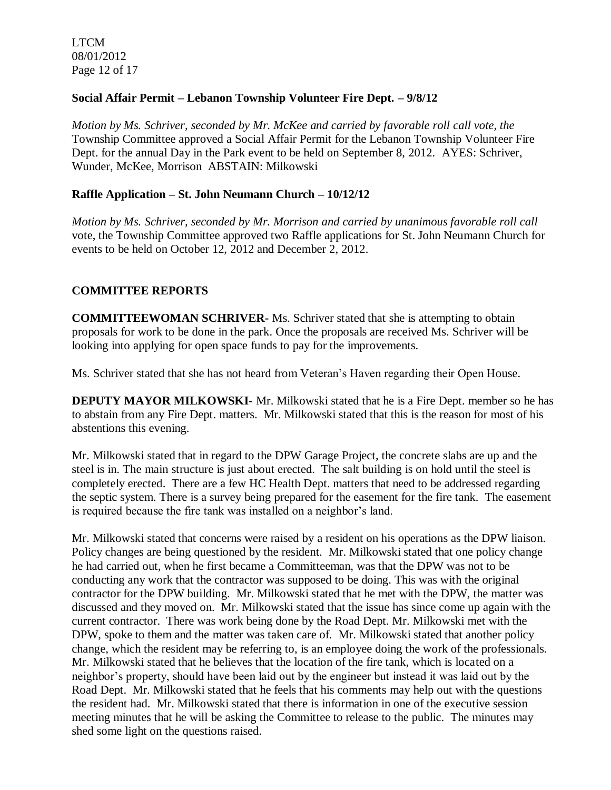LTCM 08/01/2012 Page 12 of 17

#### **Social Affair Permit – Lebanon Township Volunteer Fire Dept. – 9/8/12**

*Motion by Ms. Schriver, seconded by Mr. McKee and carried by favorable roll call vote, the* Township Committee approved a Social Affair Permit for the Lebanon Township Volunteer Fire Dept. for the annual Day in the Park event to be held on September 8, 2012. AYES: Schriver, Wunder, McKee, Morrison ABSTAIN: Milkowski

#### **Raffle Application – St. John Neumann Church – 10/12/12**

*Motion by Ms. Schriver, seconded by Mr. Morrison and carried by unanimous favorable roll call*  vote, the Township Committee approved two Raffle applications for St. John Neumann Church for events to be held on October 12, 2012 and December 2, 2012.

### **COMMITTEE REPORTS**

**COMMITTEEWOMAN SCHRIVER-** Ms. Schriver stated that she is attempting to obtain proposals for work to be done in the park. Once the proposals are received Ms. Schriver will be looking into applying for open space funds to pay for the improvements.

Ms. Schriver stated that she has not heard from Veteran's Haven regarding their Open House.

**DEPUTY MAYOR MILKOWSKI-** Mr. Milkowski stated that he is a Fire Dept. member so he has to abstain from any Fire Dept. matters. Mr. Milkowski stated that this is the reason for most of his abstentions this evening.

Mr. Milkowski stated that in regard to the DPW Garage Project, the concrete slabs are up and the steel is in. The main structure is just about erected. The salt building is on hold until the steel is completely erected. There are a few HC Health Dept. matters that need to be addressed regarding the septic system. There is a survey being prepared for the easement for the fire tank. The easement is required because the fire tank was installed on a neighbor's land.

Mr. Milkowski stated that concerns were raised by a resident on his operations as the DPW liaison. Policy changes are being questioned by the resident. Mr. Milkowski stated that one policy change he had carried out, when he first became a Committeeman, was that the DPW was not to be conducting any work that the contractor was supposed to be doing. This was with the original contractor for the DPW building. Mr. Milkowski stated that he met with the DPW, the matter was discussed and they moved on. Mr. Milkowski stated that the issue has since come up again with the current contractor. There was work being done by the Road Dept. Mr. Milkowski met with the DPW, spoke to them and the matter was taken care of. Mr. Milkowski stated that another policy change, which the resident may be referring to, is an employee doing the work of the professionals. Mr. Milkowski stated that he believes that the location of the fire tank, which is located on a neighbor's property, should have been laid out by the engineer but instead it was laid out by the Road Dept. Mr. Milkowski stated that he feels that his comments may help out with the questions the resident had. Mr. Milkowski stated that there is information in one of the executive session meeting minutes that he will be asking the Committee to release to the public. The minutes may shed some light on the questions raised.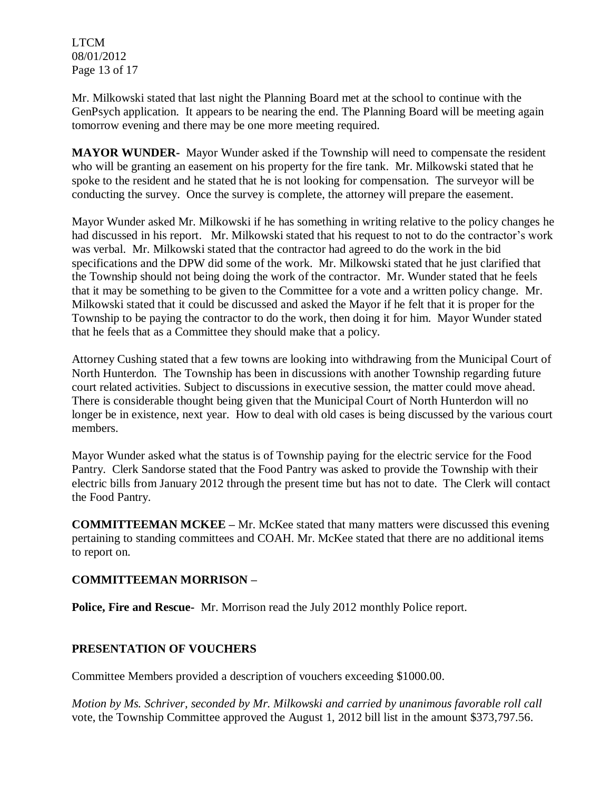LTCM 08/01/2012 Page 13 of 17

Mr. Milkowski stated that last night the Planning Board met at the school to continue with the GenPsych application. It appears to be nearing the end. The Planning Board will be meeting again tomorrow evening and there may be one more meeting required.

**MAYOR WUNDER-** Mayor Wunder asked if the Township will need to compensate the resident who will be granting an easement on his property for the fire tank. Mr. Milkowski stated that he spoke to the resident and he stated that he is not looking for compensation. The surveyor will be conducting the survey. Once the survey is complete, the attorney will prepare the easement.

Mayor Wunder asked Mr. Milkowski if he has something in writing relative to the policy changes he had discussed in his report. Mr. Milkowski stated that his request to not to do the contractor's work was verbal. Mr. Milkowski stated that the contractor had agreed to do the work in the bid specifications and the DPW did some of the work. Mr. Milkowski stated that he just clarified that the Township should not being doing the work of the contractor. Mr. Wunder stated that he feels that it may be something to be given to the Committee for a vote and a written policy change. Mr. Milkowski stated that it could be discussed and asked the Mayor if he felt that it is proper for the Township to be paying the contractor to do the work, then doing it for him. Mayor Wunder stated that he feels that as a Committee they should make that a policy.

Attorney Cushing stated that a few towns are looking into withdrawing from the Municipal Court of North Hunterdon. The Township has been in discussions with another Township regarding future court related activities. Subject to discussions in executive session, the matter could move ahead. There is considerable thought being given that the Municipal Court of North Hunterdon will no longer be in existence, next year. How to deal with old cases is being discussed by the various court members.

Mayor Wunder asked what the status is of Township paying for the electric service for the Food Pantry. Clerk Sandorse stated that the Food Pantry was asked to provide the Township with their electric bills from January 2012 through the present time but has not to date. The Clerk will contact the Food Pantry.

**COMMITTEEMAN MCKEE –** Mr. McKee stated that many matters were discussed this evening pertaining to standing committees and COAH. Mr. McKee stated that there are no additional items to report on.

### **COMMITTEEMAN MORRISON –**

**Police, Fire and Rescue-** Mr. Morrison read the July 2012 monthly Police report.

### **PRESENTATION OF VOUCHERS**

Committee Members provided a description of vouchers exceeding \$1000.00.

*Motion by Ms. Schriver, seconded by Mr. Milkowski and carried by unanimous favorable roll call*  vote, the Township Committee approved the August 1, 2012 bill list in the amount \$373,797.56.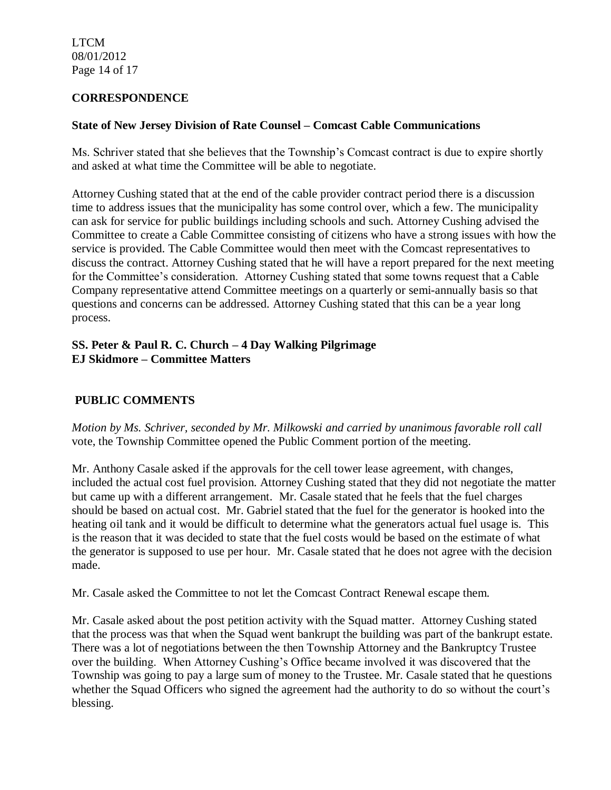LTCM 08/01/2012 Page 14 of 17

#### **CORRESPONDENCE**

#### **State of New Jersey Division of Rate Counsel – Comcast Cable Communications**

Ms. Schriver stated that she believes that the Township's Comcast contract is due to expire shortly and asked at what time the Committee will be able to negotiate.

Attorney Cushing stated that at the end of the cable provider contract period there is a discussion time to address issues that the municipality has some control over, which a few. The municipality can ask for service for public buildings including schools and such. Attorney Cushing advised the Committee to create a Cable Committee consisting of citizens who have a strong issues with how the service is provided. The Cable Committee would then meet with the Comcast representatives to discuss the contract. Attorney Cushing stated that he will have a report prepared for the next meeting for the Committee's consideration. Attorney Cushing stated that some towns request that a Cable Company representative attend Committee meetings on a quarterly or semi-annually basis so that questions and concerns can be addressed. Attorney Cushing stated that this can be a year long process.

#### **SS. Peter & Paul R. C. Church – 4 Day Walking Pilgrimage EJ Skidmore – Committee Matters**

## **PUBLIC COMMENTS**

*Motion by Ms. Schriver, seconded by Mr. Milkowski and carried by unanimous favorable roll call*  vote, the Township Committee opened the Public Comment portion of the meeting.

Mr. Anthony Casale asked if the approvals for the cell tower lease agreement, with changes, included the actual cost fuel provision. Attorney Cushing stated that they did not negotiate the matter but came up with a different arrangement. Mr. Casale stated that he feels that the fuel charges should be based on actual cost. Mr. Gabriel stated that the fuel for the generator is hooked into the heating oil tank and it would be difficult to determine what the generators actual fuel usage is. This is the reason that it was decided to state that the fuel costs would be based on the estimate of what the generator is supposed to use per hour. Mr. Casale stated that he does not agree with the decision made.

Mr. Casale asked the Committee to not let the Comcast Contract Renewal escape them.

Mr. Casale asked about the post petition activity with the Squad matter. Attorney Cushing stated that the process was that when the Squad went bankrupt the building was part of the bankrupt estate. There was a lot of negotiations between the then Township Attorney and the Bankruptcy Trustee over the building. When Attorney Cushing's Office became involved it was discovered that the Township was going to pay a large sum of money to the Trustee. Mr. Casale stated that he questions whether the Squad Officers who signed the agreement had the authority to do so without the court's blessing.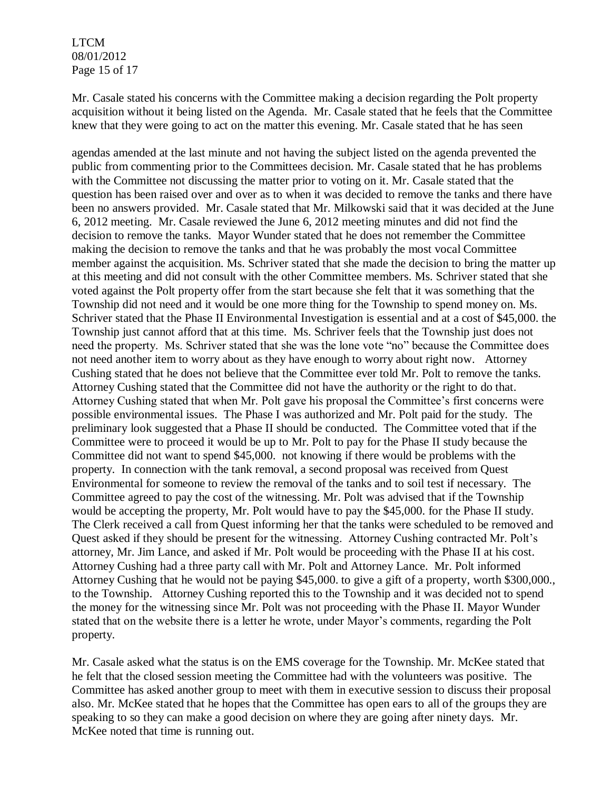LTCM 08/01/2012 Page 15 of 17

Mr. Casale stated his concerns with the Committee making a decision regarding the Polt property acquisition without it being listed on the Agenda. Mr. Casale stated that he feels that the Committee knew that they were going to act on the matter this evening. Mr. Casale stated that he has seen

agendas amended at the last minute and not having the subject listed on the agenda prevented the public from commenting prior to the Committees decision. Mr. Casale stated that he has problems with the Committee not discussing the matter prior to voting on it. Mr. Casale stated that the question has been raised over and over as to when it was decided to remove the tanks and there have been no answers provided. Mr. Casale stated that Mr. Milkowski said that it was decided at the June 6, 2012 meeting. Mr. Casale reviewed the June 6, 2012 meeting minutes and did not find the decision to remove the tanks. Mayor Wunder stated that he does not remember the Committee making the decision to remove the tanks and that he was probably the most vocal Committee member against the acquisition. Ms. Schriver stated that she made the decision to bring the matter up at this meeting and did not consult with the other Committee members. Ms. Schriver stated that she voted against the Polt property offer from the start because she felt that it was something that the Township did not need and it would be one more thing for the Township to spend money on. Ms. Schriver stated that the Phase II Environmental Investigation is essential and at a cost of \$45,000. the Township just cannot afford that at this time. Ms. Schriver feels that the Township just does not need the property. Ms. Schriver stated that she was the lone vote "no" because the Committee does not need another item to worry about as they have enough to worry about right now. Attorney Cushing stated that he does not believe that the Committee ever told Mr. Polt to remove the tanks. Attorney Cushing stated that the Committee did not have the authority or the right to do that. Attorney Cushing stated that when Mr. Polt gave his proposal the Committee's first concerns were possible environmental issues. The Phase I was authorized and Mr. Polt paid for the study. The preliminary look suggested that a Phase II should be conducted. The Committee voted that if the Committee were to proceed it would be up to Mr. Polt to pay for the Phase II study because the Committee did not want to spend \$45,000. not knowing if there would be problems with the property. In connection with the tank removal, a second proposal was received from Quest Environmental for someone to review the removal of the tanks and to soil test if necessary. The Committee agreed to pay the cost of the witnessing. Mr. Polt was advised that if the Township would be accepting the property, Mr. Polt would have to pay the \$45,000. for the Phase II study. The Clerk received a call from Quest informing her that the tanks were scheduled to be removed and Quest asked if they should be present for the witnessing. Attorney Cushing contracted Mr. Polt's attorney, Mr. Jim Lance, and asked if Mr. Polt would be proceeding with the Phase II at his cost. Attorney Cushing had a three party call with Mr. Polt and Attorney Lance. Mr. Polt informed Attorney Cushing that he would not be paying \$45,000. to give a gift of a property, worth \$300,000., to the Township. Attorney Cushing reported this to the Township and it was decided not to spend the money for the witnessing since Mr. Polt was not proceeding with the Phase II. Mayor Wunder stated that on the website there is a letter he wrote, under Mayor's comments, regarding the Polt property.

Mr. Casale asked what the status is on the EMS coverage for the Township. Mr. McKee stated that he felt that the closed session meeting the Committee had with the volunteers was positive. The Committee has asked another group to meet with them in executive session to discuss their proposal also. Mr. McKee stated that he hopes that the Committee has open ears to all of the groups they are speaking to so they can make a good decision on where they are going after ninety days. Mr. McKee noted that time is running out.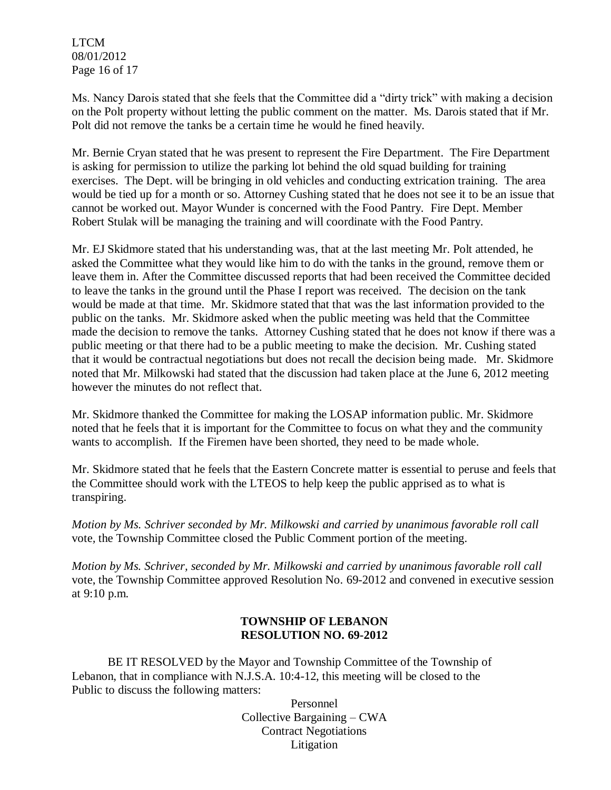LTCM 08/01/2012 Page 16 of 17

Ms. Nancy Darois stated that she feels that the Committee did a "dirty trick" with making a decision on the Polt property without letting the public comment on the matter. Ms. Darois stated that if Mr. Polt did not remove the tanks be a certain time he would he fined heavily.

Mr. Bernie Cryan stated that he was present to represent the Fire Department. The Fire Department is asking for permission to utilize the parking lot behind the old squad building for training exercises. The Dept. will be bringing in old vehicles and conducting extrication training. The area would be tied up for a month or so. Attorney Cushing stated that he does not see it to be an issue that cannot be worked out. Mayor Wunder is concerned with the Food Pantry. Fire Dept. Member Robert Stulak will be managing the training and will coordinate with the Food Pantry.

Mr. EJ Skidmore stated that his understanding was, that at the last meeting Mr. Polt attended, he asked the Committee what they would like him to do with the tanks in the ground, remove them or leave them in. After the Committee discussed reports that had been received the Committee decided to leave the tanks in the ground until the Phase I report was received. The decision on the tank would be made at that time. Mr. Skidmore stated that that was the last information provided to the public on the tanks. Mr. Skidmore asked when the public meeting was held that the Committee made the decision to remove the tanks. Attorney Cushing stated that he does not know if there was a public meeting or that there had to be a public meeting to make the decision. Mr. Cushing stated that it would be contractual negotiations but does not recall the decision being made. Mr. Skidmore noted that Mr. Milkowski had stated that the discussion had taken place at the June 6, 2012 meeting however the minutes do not reflect that.

Mr. Skidmore thanked the Committee for making the LOSAP information public. Mr. Skidmore noted that he feels that it is important for the Committee to focus on what they and the community wants to accomplish. If the Firemen have been shorted, they need to be made whole.

Mr. Skidmore stated that he feels that the Eastern Concrete matter is essential to peruse and feels that the Committee should work with the LTEOS to help keep the public apprised as to what is transpiring.

*Motion by Ms. Schriver seconded by Mr. Milkowski and carried by unanimous favorable roll call*  vote*,* the Township Committee closed the Public Comment portion of the meeting.

*Motion by Ms. Schriver, seconded by Mr. Milkowski and carried by unanimous favorable roll call*  vote, the Township Committee approved Resolution No. 69-2012 and convened in executive session at 9:10 p.m.

### **TOWNSHIP OF LEBANON RESOLUTION NO. 69-2012**

BE IT RESOLVED by the Mayor and Township Committee of the Township of Lebanon, that in compliance with N.J.S.A. 10:4-12, this meeting will be closed to the Public to discuss the following matters:

> Personnel Collective Bargaining – CWA Contract Negotiations Litigation